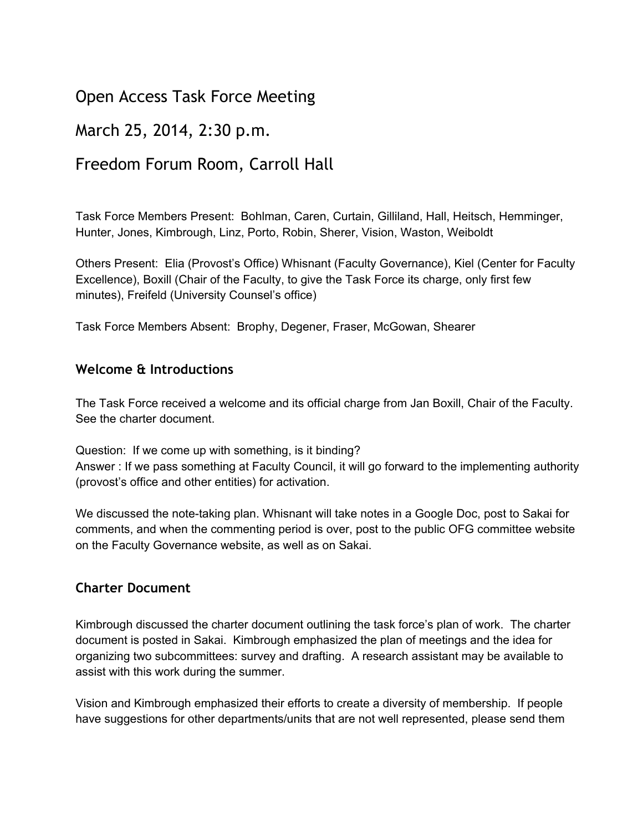# Open Access Task Force Meeting

## March 25, 2014, 2:30 p.m.

## Freedom Forum Room, Carroll Hall

Task Force Members Present: Bohlman, Caren, Curtain, Gilliland, Hall, Heitsch, Hemminger, Hunter, Jones, Kimbrough, Linz, Porto, Robin, Sherer, Vision, Waston, Weiboldt

Others Present: Elia (Provost's Office) Whisnant (Faculty Governance), Kiel (Center for Faculty Excellence), Boxill (Chair of the Faculty, to give the Task Force its charge, only first few minutes), Freifeld (University Counsel's office)

Task Force Members Absent: Brophy, Degener, Fraser, McGowan, Shearer

#### **Welcome & Introductions**

The Task Force received a welcome and its official charge from Jan Boxill, Chair of the Faculty. See the charter document.

Question: If we come up with something, is it binding? Answer : If we pass something at Faculty Council, it will go forward to the implementing authority (provost's office and other entities) for activation.

We discussed the note-taking plan. Whisnant will take notes in a Google Doc, post to Sakai for comments, and when the commenting period is over, post to the public OFG committee website on the Faculty Governance website, as well as on Sakai.

#### **Charter Document**

Kimbrough discussed the charter document outlining the task force's plan of work. The charter document is posted in Sakai. Kimbrough emphasized the plan of meetings and the idea for organizing two subcommittees: survey and drafting. A research assistant may be available to assist with this work during the summer.

Vision and Kimbrough emphasized their efforts to create a diversity of membership. If people have suggestions for other departments/units that are not well represented, please send them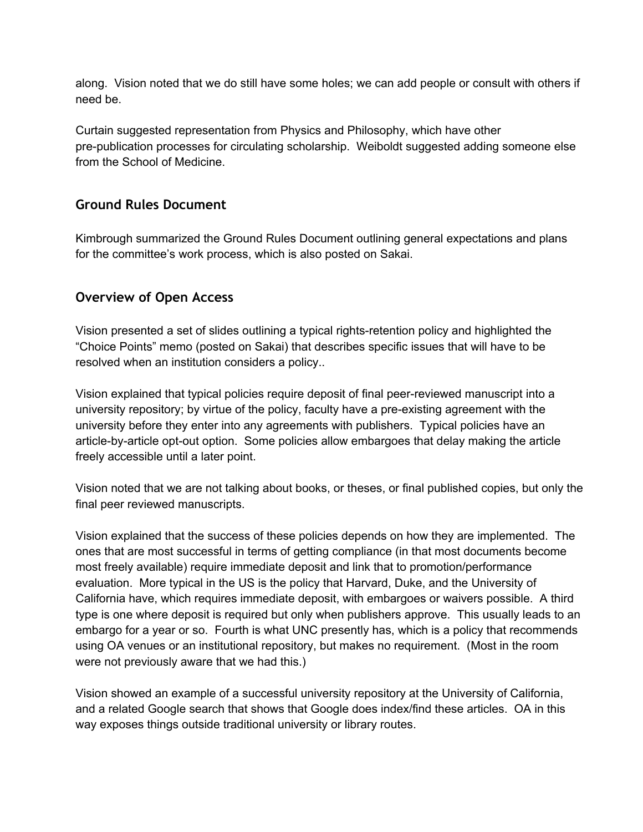along. Vision noted that we do still have some holes; we can add people or consult with others if need be.

Curtain suggested representation from Physics and Philosophy, which have other pre-publication processes for circulating scholarship. Weiboldt suggested adding someone else from the School of Medicine.

#### **Ground Rules Document**

Kimbrough summarized the Ground Rules Document outlining general expectations and plans for the committee's work process, which is also posted on Sakai.

### **Overview of Open Access**

Vision presented a set of slides outlining a typical rights-retention policy and highlighted the "Choice Points" memo (posted on Sakai) that describes specific issues that will have to be resolved when an institution considers a policy..

Vision explained that typical policies require deposit of final peerreviewed manuscript into a university repository; by virtue of the policy, faculty have a pre-existing agreement with the university before they enter into any agreements with publishers. Typical policies have an article-by-article opt-out option. Some policies allow embargoes that delay making the article freely accessible until a later point.

Vision noted that we are not talking about books, or theses, or final published copies, but only the final peer reviewed manuscripts.

Vision explained that the success of these policies depends on how they are implemented. The ones that are most successful in terms of getting compliance (in that most documents become most freely available) require immediate deposit and link that to promotion/performance evaluation. More typical in the US is the policy that Harvard, Duke, and the University of California have, which requires immediate deposit, with embargoes or waivers possible. A third type is one where deposit is required but only when publishers approve. This usually leads to an embargo for a year or so. Fourth is what UNC presently has, which is a policy that recommends using OA venues or an institutional repository, but makes no requirement. (Most in the room were not previously aware that we had this.)

Vision showed an example of a successful university repository at the University of California, and a related Google search that shows that Google does index/find these articles. OA in this way exposes things outside traditional university or library routes.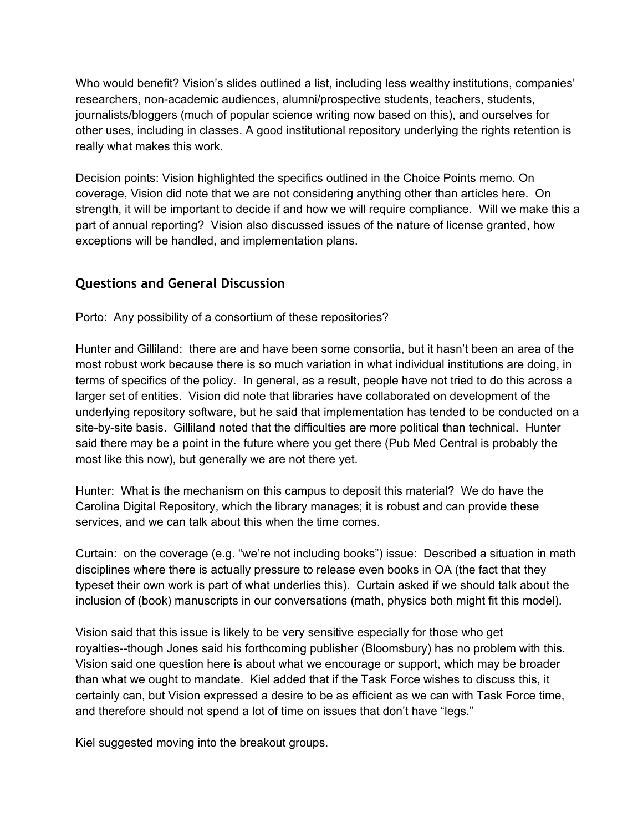Who would benefit? Vision's slides outlined a list, including less wealthy institutions, companies' researchers, non-academic audiences, alumni/prospective students, teachers, students, journalists/bloggers (much of popular science writing now based on this), and ourselves for other uses, including in classes. A good institutional repository underlying the rights retention is really what makes this work.

Decision points: Vision highlighted the specifics outlined in the Choice Points memo. On coverage, Vision did note that we are not considering anything other than articles here. On strength, it will be important to decide if and how we will require compliance. Will we make this a part of annual reporting? Vision also discussed issues of the nature of license granted, how exceptions will be handled, and implementation plans.

### **Questions and General Discussion**

Porto: Any possibility of a consortium of these repositories?

Hunter and Gilliland: there are and have been some consortia, but it hasn't been an area of the most robust work because there is so much variation in what individual institutions are doing, in terms of specifics of the policy. In general, as a result, people have not tried to do this across a larger set of entities. Vision did note that libraries have collaborated on development of the underlying repository software, but he said that implementation has tended to be conducted on a site-by-site basis. Gilliland noted that the difficulties are more political than technical. Hunter said there may be a point in the future where you get there (Pub Med Central is probably the most like this now), but generally we are not there yet.

Hunter: What is the mechanism on this campus to deposit this material? We do have the Carolina Digital Repository, which the library manages; it is robust and can provide these services, and we can talk about this when the time comes.

Curtain: on the coverage (e.g. "we're not including books") issue: Described a situation in math disciplines where there is actually pressure to release even books in OA (the fact that they typeset their own work is part of what underlies this). Curtain asked if we should talk about the inclusion of (book) manuscripts in our conversations (math, physics both might fit this model).

Vision said that this issue is likely to be very sensitive especially for those who get royalties--though Jones said his forthcoming publisher (Bloomsbury) has no problem with this. Vision said one question here is about what we encourage or support, which may be broader than what we ought to mandate. Kiel added that if the Task Force wishes to discuss this, it certainly can, but Vision expressed a desire to be as efficient as we can with Task Force time, and therefore should not spend a lot of time on issues that don't have "legs."

Kiel suggested moving into the breakout groups.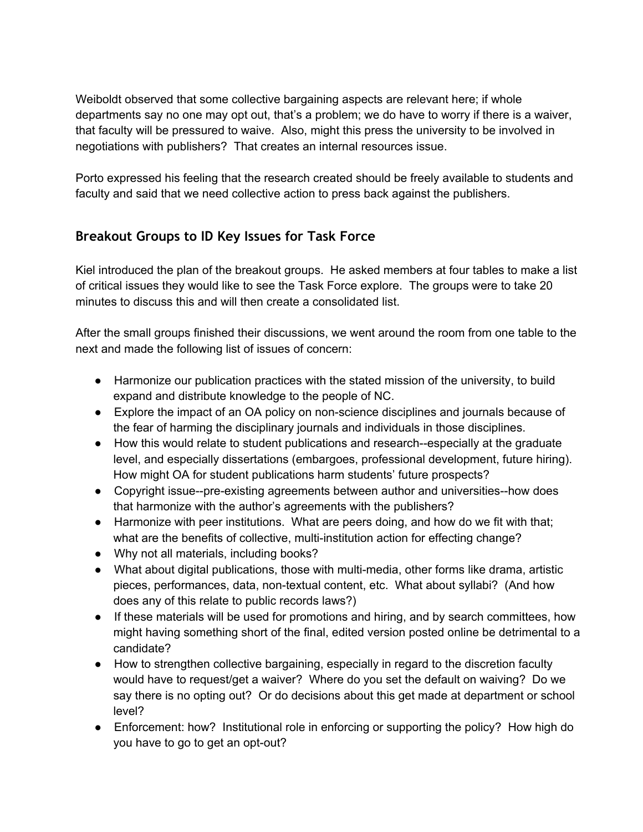Weiboldt observed that some collective bargaining aspects are relevant here; if whole departments say no one may opt out, that's a problem; we do have to worry if there is a waiver, that faculty will be pressured to waive. Also, might this press the university to be involved in negotiations with publishers? That creates an internal resources issue.

Porto expressed his feeling that the research created should be freely available to students and faculty and said that we need collective action to press back against the publishers.

## **Breakout Groups to ID Key Issues for Task Force**

Kiel introduced the plan of the breakout groups. He asked members at four tables to make a list of critical issues they would like to see the Task Force explore. The groups were to take 20 minutes to discuss this and will then create a consolidated list.

After the small groups finished their discussions, we went around the room from one table to the next and made the following list of issues of concern:

- Harmonize our publication practices with the stated mission of the university, to build expand and distribute knowledge to the people of NC.
- Explore the impact of an OA policy on non-science disciplines and journals because of the fear of harming the disciplinary journals and individuals in those disciplines.
- How this would relate to student publications and research-especially at the graduate level, and especially dissertations (embargoes, professional development, future hiring). How might OA for student publications harm students' future prospects?
- Copyright issue--pre-existing agreements between author and universities--how does that harmonize with the author's agreements with the publishers?
- Harmonize with peer institutions. What are peers doing, and how do we fit with that; what are the benefits of collective, multi-institution action for effecting change?
- Why not all materials, including books?
- What about digital publications, those with multi-media, other forms like drama, artistic pieces, performances, data, non-textual content, etc. What about syllabi? (And how does any of this relate to public records laws?)
- If these materials will be used for promotions and hiring, and by search committees, how might having something short of the final, edited version posted online be detrimental to a candidate?
- How to strengthen collective bargaining, especially in regard to the discretion faculty would have to request/get a waiver? Where do you set the default on waiving? Do we say there is no opting out? Or do decisions about this get made at department or school level?
- Enforcement: how? Institutional role in enforcing or supporting the policy? How high do you have to go to get an opt-out?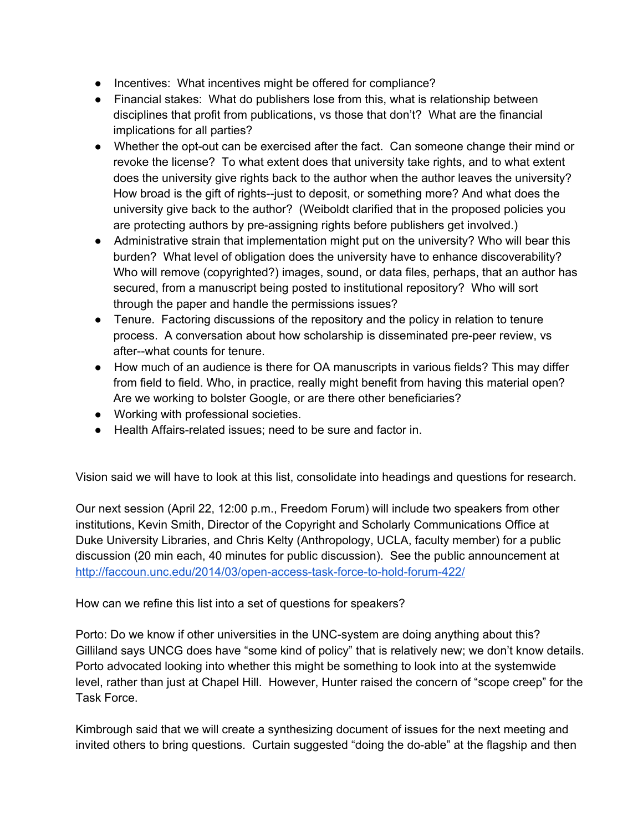- Incentives: What incentives might be offered for compliance?
- Financial stakes: What do publishers lose from this, what is relationship between disciplines that profit from publications, vs those that don't? What are the financial implications for all parties?
- Whether the opt-out can be exercised after the fact. Can someone change their mind or revoke the license? To what extent does that university take rights, and to what extent does the university give rights back to the author when the author leaves the university? How broad is the gift of rights--just to deposit, or something more? And what does the university give back to the author? (Weiboldt clarified that in the proposed policies you are protecting authors by pre-assigning rights before publishers get involved.)
- Administrative strain that implementation might put on the university? Who will bear this burden? What level of obligation does the university have to enhance discoverability? Who will remove (copyrighted?) images, sound, or data files, perhaps, that an author has secured, from a manuscript being posted to institutional repository? Who will sort through the paper and handle the permissions issues?
- Tenure. Factoring discussions of the repository and the policy in relation to tenure process. A conversation about how scholarship is disseminated pre-peer review, vs after--what counts for tenure.
- How much of an audience is there for OA manuscripts in various fields? This may differ from field to field. Who, in practice, really might benefit from having this material open? Are we working to bolster Google, or are there other beneficiaries?
- Working with professional societies.
- Health Affairs-related issues; need to be sure and factor in.

Vision said we will have to look at this list, consolidate into headings and questions for research.

Our next session (April 22, 12:00 p.m., Freedom Forum) will include two speakers from other institutions, Kevin Smith, Director of the Copyright and Scholarly Communications Office at Duke University Libraries, and Chris Kelty (Anthropology, UCLA, faculty member) for a public discussion (20 min each, 40 minutes for public discussion). See the public announcement at http://faccoun.unc.edu/2014/03/open-access-task-force-to-hold-forum-422/

How can we refine this list into a set of questions for speakers?

Porto: Do we know if other universities in the UNC-system are doing anything about this? Gilliland says UNCG does have "some kind of policy" that is relatively new; we don't know details. Porto advocated looking into whether this might be something to look into at the systemwide level, rather than just at Chapel Hill. However, Hunter raised the concern of "scope creep" for the Task Force.

Kimbrough said that we will create a synthesizing document of issues for the next meeting and invited others to bring questions. Curtain suggested "doing the do-able" at the flagship and then